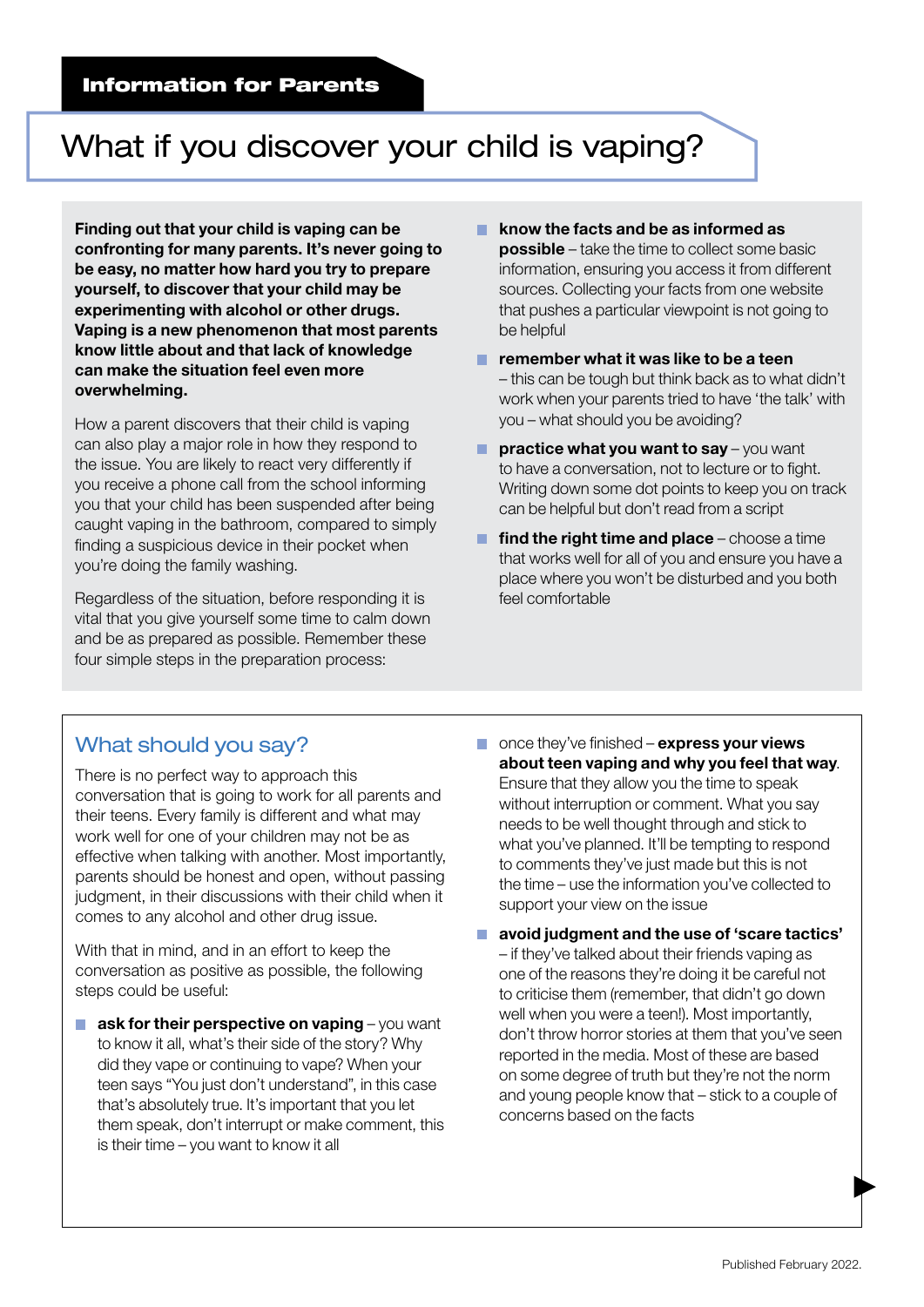## What if you discover your child is vaping?

Finding out that your child is vaping can be confronting for many parents. It's never going to be easy, no matter how hard you try to prepare yourself, to discover that your child may be experimenting with alcohol or other drugs. Vaping is a new phenomenon that most parents know little about and that lack of knowledge can make the situation feel even more overwhelming.

How a parent discovers that their child is vaping can also play a major role in how they respond to the issue. You are likely to react very differently if you receive a phone call from the school informing you that your child has been suspended after being caught vaping in the bathroom, compared to simply finding a suspicious device in their pocket when you're doing the family washing.

Regardless of the situation, before responding it is vital that you give yourself some time to calm down and be as prepared as possible. Remember these four simple steps in the preparation process:

- know the facts and be as informed as . **possible** – take the time to collect some basic information, ensuring you access it from different sources. Collecting your facts from one website that pushes a particular viewpoint is not going to be helpful
- **F** remember what it was like to be a teen – this can be tough but think back as to what didn't work when your parents tried to have 'the talk' with you – what should you be avoiding?
- **P** practice what you want to say  $-\gamma$  you want to have a conversation, not to lecture or to fight. Writing down some dot points to keep you on track can be helpful but don't read from a script
- **find the right time and place** choose a time that works well for all of you and ensure you have a place where you won't be disturbed and you both feel comfortable

## What should you say?

There is no perfect way to approach this conversation that is going to work for all parents and their teens. Every family is different and what may work well for one of your children may not be as effective when talking with another. Most importantly, parents should be honest and open, without passing judgment, in their discussions with their child when it comes to any alcohol and other drug issue.

With that in mind, and in an effort to keep the conversation as positive as possible, the following steps could be useful:

- **ask for their perspective on vaping**  $-\gamma$  ou want to know it all, what's their side of the story? Why did they vape or continuing to vape? When your teen says "You just don't understand", in this case that's absolutely true. It's important that you let them speak, don't interrupt or make comment, this is their time – you want to know it all
- $\blacksquare$  once they've finished express your views about teen vaping and why you feel that way. Ensure that they allow you the time to speak without interruption or comment. What you say needs to be well thought through and stick to what you've planned. It'll be tempting to respond to comments they've just made but this is not the time – use the information you've collected to support your view on the issue
- **a** avoid judgment and the use of 'scare tactics' – if they've talked about their friends vaping as one of the reasons they're doing it be careful not to criticise them (remember, that didn't go down well when you were a teen!). Most importantly, don't throw horror stories at them that you've seen reported in the media. Most of these are based on some degree of truth but they're not the norm and young people know that – stick to a couple of concerns based on the facts